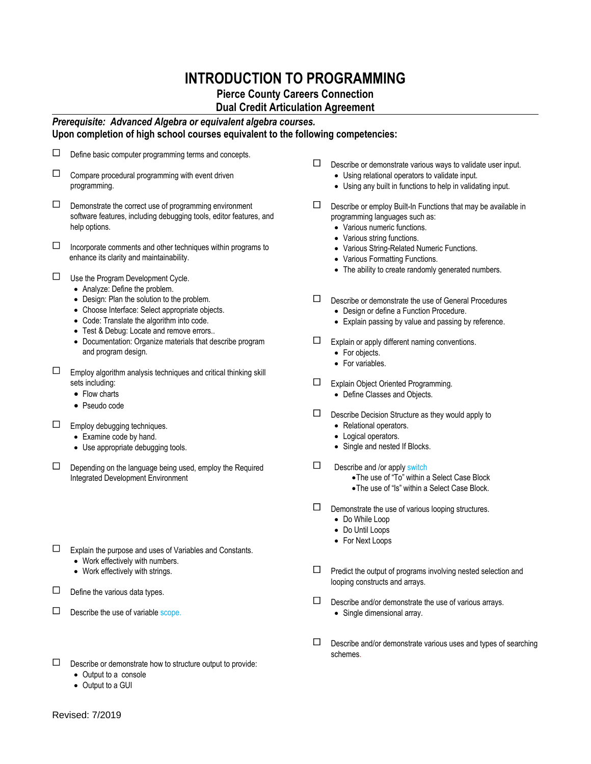## **INTRODUCTION TO PROGRAMMING**

## **Pierce County Careers Connection**

**Dual Credit Articulation Agreement**

## *Prerequisite: Advanced Algebra or equivalent algebra courses.* **Upon completion of high school courses equivalent to the following competencies:**

| Define basic computer programming terms and concepts. |  |
|-------------------------------------------------------|--|
|-------------------------------------------------------|--|

- $\Box$  Compare procedural programming with event driven programming.
- $\square$  Demonstrate the correct use of programming environment software features, including debugging tools, editor features, and help options.
- $\Box$  Incorporate comments and other techniques within programs to enhance its clarity and maintainability.
- $\Box$  Use the Program Development Cycle.
	- Analyze: Define the problem.
	- Design: Plan the solution to the problem.
	- Choose Interface: Select appropriate objects.
	- Code: Translate the algorithm into code.
	- Test & Debug: Locate and remove errors..
	- Documentation: Organize materials that describe program and program design.
- $\square$  Employ algorithm analysis techniques and critical thinking skill sets including:
	- Flow charts
	- Pseudo code
- $\Box$  Employ debugging techniques.
	- Examine code by hand.
	- Use appropriate debugging tools.
- $\square$  Depending on the language being used, employ the Required Integrated Development Environment
- Explain the purpose and uses of Variables and Constants.
	- Work effectively with numbers.
	- Work effectively with strings.
- $\Box$  Define the various data types.
- $\Box$  Describe the use of variable scope.
- $\square$  Describe or demonstrate how to structure output to provide:
	- Output to a console
	- Output to a GUI
- $\square$  Describe or demonstrate various ways to validate user input.
	- Using relational operators to validate input.
	- Using any built in functions to help in validating input.
- $\square$  Describe or employ Built-In Functions that may be available in programming languages such as:
	- Various numeric functions.
	- Various string functions.
	- Various String-Related Numeric Functions.
	- Various Formatting Functions.
	- The ability to create randomly generated numbers.
- Describe or demonstrate the use of General Procedures • Design or define a Function Procedure.
	- Explain passing by value and passing by reference.
- Explain or apply different naming conventions.
	- For objects.
	- For variables.
- Explain Object Oriented Programming. Define Classes and Objects.
- $\square$  Describe Decision Structure as they would apply to • Relational operators.
	- Logical operators.
	- Single and nested If Blocks.
- $\square$  Describe and /or apply switch
	- The use of "To" within a Select Case Block
	- The use of "Is" within a Select Case Block.
- $\Box$  Demonstrate the use of various looping structures. Do While Loop
	- Do Until Loops
	- For Next Loops
	-
- $\square$  Predict the output of programs involving nested selection and looping constructs and arrays.
- $\square$  Describe and/or demonstrate the use of various arrays. • Single dimensional array.
- $\square$  Describe and/or demonstrate various uses and types of searching schemes.